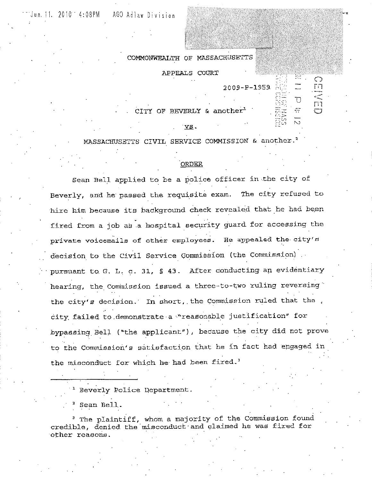2009-P-1959.

 $\epsilon$  ,  $\Rightarrow$ 

 $\Box$ 

 $\bigcirc$ 简

កា

COMMONWEALTH OF

APPEALS COURT

 $CITY$  OF BEVERLY & another<sup>1</sup>

VS.

MASSACHUSETTS CIVIL SERVICE COMMISSION & another.'

### ·oRDER

Sean Bell applied to be a police officer in the city of Beverly, and he passed the requisite exam. The city refused to hire him because its background check revealed that he had been fired from a job as a hospital security guard for accessing the private voicemails of other employees. He appealed the- city's decision to the Civil Service Commission (the Commission). pursuant to. G, L, c. 31, § 43. After conducting an evidentiary hearing, the Commission issued a three-to-two ruling reversing the city's decision. In short, the Commission ruled that the. city failed to demonstrate a "reasonable justification" for bypassing Bell (~the applicant"), because the city did not prove to Commission's satisfaction that he in fact had engaged in the misconduct for which he had been fired.<sup>3</sup>

Beverly Police Department.

Sean Bell.

<sup>3</sup> The plaintiff, whom a majority of the Commission found credible, denied the'misconduct·and claimed he was fired for ·other reasons.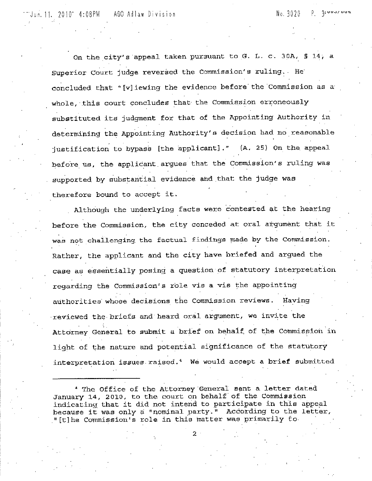Jun.11. 2010<sup>-</sup> 4:08PM AGO Adiaw Division No. 3020 P. 3<sup>4</sup> VV.

On the city's appeal taken pursuant to G. L. c. 30A, § 14, a Superior Court judge reversed the Commission's ruling. He' concluded that "[v]iewing the evidence before the Commission as a whole, this court concludes that the Commission erroneously substituted its judgment for that of the Appointing Authority in determining the Appointing Authority's decision had no reasonable justification to bypass [the applicant]."  $(A. 25)$  On the appeal before us, the applicant argues that the Commission's ruling was supported by aubstantial evidence and that the judge was therefore bound to accept it.

Although the underlying facts were contested at the hearing before the Commission, the city conceded at oral argument that it was not challenging the factual findings made by the Commission. Rather, the applicant and the city have briefed and argued the case as essentially posing a question·of statutory interpretation regarding the Commission's role vis a vis the appointing authorities·whose decisions the Commission reviews. Having ·reviewed the-briefs and heard oral argument, we invite the Attorney General to submit a brief on behalf of the Commission in light of the nature and potential significance of the statutory interpretation issues. raised. 4 We would accept a brief submitted

<sup>4</sup> The Office of the Attorney General sent a letter dated January 14, 2010, to the court on behalf of the Commission indicating that it did not intend to participate in this appeal because it was only a "nominal party." According to the letter, " [t]he Commission's role in this matter was primarily to

2.